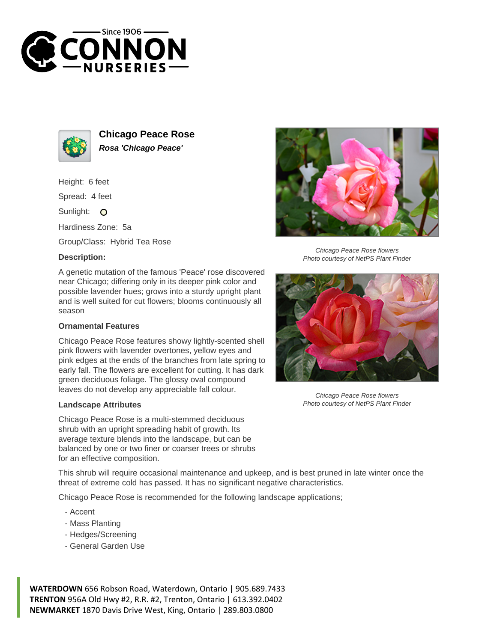



**Chicago Peace Rose Rosa 'Chicago Peace'**

Height: 6 feet

Spread: 4 feet

Sunlight: O

Hardiness Zone: 5a

Group/Class: Hybrid Tea Rose

## **Description:**

A genetic mutation of the famous 'Peace' rose discovered near Chicago; differing only in its deeper pink color and possible lavender hues; grows into a sturdy upright plant and is well suited for cut flowers; blooms continuously all season

## **Ornamental Features**

Chicago Peace Rose features showy lightly-scented shell pink flowers with lavender overtones, yellow eyes and pink edges at the ends of the branches from late spring to early fall. The flowers are excellent for cutting. It has dark green deciduous foliage. The glossy oval compound leaves do not develop any appreciable fall colour.

## **Landscape Attributes**

Chicago Peace Rose is a multi-stemmed deciduous shrub with an upright spreading habit of growth. Its average texture blends into the landscape, but can be balanced by one or two finer or coarser trees or shrubs for an effective composition.

Chicago Peace Rose flowers Photo courtesy of NetPS Plant Finder



Chicago Peace Rose flowers Photo courtesy of NetPS Plant Finder

This shrub will require occasional maintenance and upkeep, and is best pruned in late winter once the threat of extreme cold has passed. It has no significant negative characteristics.

Chicago Peace Rose is recommended for the following landscape applications;

- Accent
- Mass Planting
- Hedges/Screening
- General Garden Use

**WATERDOWN** 656 Robson Road, Waterdown, Ontario | 905.689.7433 **TRENTON** 956A Old Hwy #2, R.R. #2, Trenton, Ontario | 613.392.0402 **NEWMARKET** 1870 Davis Drive West, King, Ontario | 289.803.0800